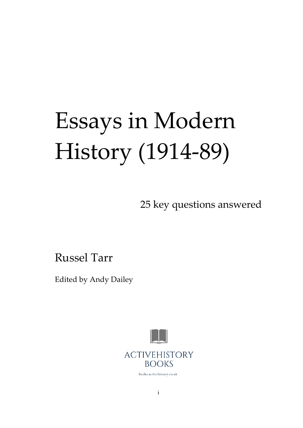# Essays in Modern History (1914-89)

25 key questions answered

Russel Tarr

Edited by Andy Dailey



books.activehistory.co.uk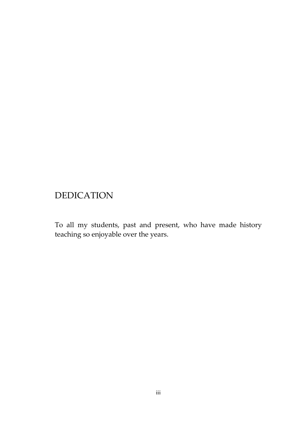# DEDICATION

To all my students, past and present, who have made history teaching so enjoyable over the years.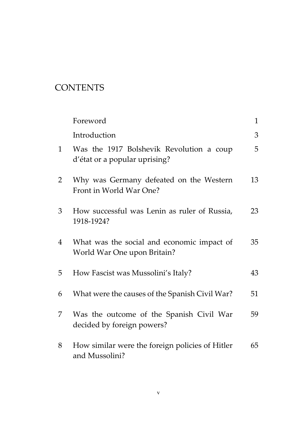# **CONTENTS**

|                | Foreword                                                                  | 1  |
|----------------|---------------------------------------------------------------------------|----|
|                | Introduction                                                              | 3  |
| 1              | Was the 1917 Bolshevik Revolution a coup<br>d'état or a popular uprising? | 5  |
| $\overline{2}$ | Why was Germany defeated on the Western<br>Front in World War One?        | 13 |
| 3              | How successful was Lenin as ruler of Russia,<br>1918-1924?                | 23 |
| 4              | What was the social and economic impact of<br>World War One upon Britain? | 35 |
| 5              | How Fascist was Mussolini's Italy?                                        | 43 |
| 6              | What were the causes of the Spanish Civil War?                            | 51 |
| 7              | Was the outcome of the Spanish Civil War<br>decided by foreign powers?    | 59 |
| 8              | How similar were the foreign policies of Hitler<br>and Mussolini?         | 65 |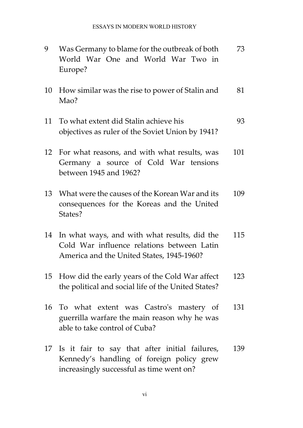| 9  | Was Germany to blame for the outbreak of both<br>World War One and World War Two in<br>Europe?                                          | 73  |
|----|-----------------------------------------------------------------------------------------------------------------------------------------|-----|
| 10 | How similar was the rise to power of Stalin and<br>Mao?                                                                                 | 81  |
| 11 | To what extent did Stalin achieve his<br>objectives as ruler of the Soviet Union by 1941?                                               | 93  |
| 12 | For what reasons, and with what results, was<br>Germany a source of Cold War tensions<br>between 1945 and 1962?                         | 101 |
| 13 | What were the causes of the Korean War and its<br>consequences for the Koreas and the United<br>States?                                 | 109 |
| 14 | In what ways, and with what results, did the<br>Cold War influence relations between Latin<br>America and the United States, 1945-1960? | 115 |
| 15 | How did the early years of the Cold War affect<br>the political and social life of the United States?                                   | 123 |
|    | 16 To what extent was Castro's mastery of<br>guerrilla warfare the main reason why he was<br>able to take control of Cuba?              | 131 |
| 17 | Is it fair to say that after initial failures,<br>Kennedy's handling of foreign policy grew<br>increasingly successful as time went on? | 139 |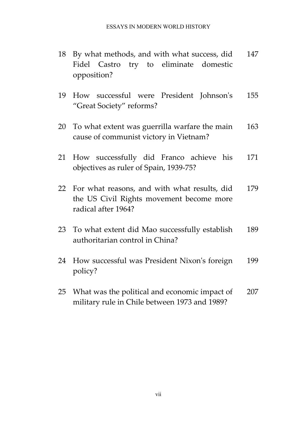- 18 By what methods, and with what success, did Fidel Castro try to eliminate domestic opposition? 147
- 19 How successful were President Johnson's "Great Society" reforms? 155
- 20 To what extent was guerrilla warfare the main cause of communist victory in Vietnam? 163
- 21 How successfully did Franco achieve his objectives as ruler of Spain, 1939-75? 171
- 22 For what reasons, and with what results, did the US Civil Rights movement become more radical after 1964? 179
- 23 To what extent did Mao successfully establish authoritarian control in China? 189
- 24 How successful was President Nixon's foreign policy? 199
- 25 What was the political and economic impact of military rule in Chile between 1973 and 1989? 207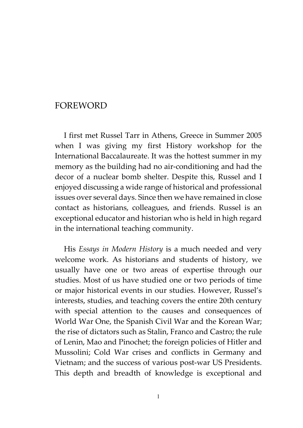## FOREWORD

I first met Russel Tarr in Athens, Greece in Summer 2005 when I was giving my first History workshop for the International Baccalaureate. It was the hottest summer in my memory as the building had no air-conditioning and had the decor of a nuclear bomb shelter. Despite this, Russel and I enjoyed discussing a wide range of historical and professional issues over several days. Since then we have remained in close contact as historians, colleagues, and friends. Russel is an exceptional educator and historian who is held in high regard in the international teaching community.

His *Essays in Modern History* is a much needed and very welcome work. As historians and students of history, we usually have one or two areas of expertise through our studies. Most of us have studied one or two periods of time or major historical events in our studies. However, Russel's interests, studies, and teaching covers the entire 20th century with special attention to the causes and consequences of World War One, the Spanish Civil War and the Korean War; the rise of dictators such as Stalin, Franco and Castro; the rule of Lenin, Mao and Pinochet; the foreign policies of Hitler and Mussolini; Cold War crises and conflicts in Germany and Vietnam; and the success of various post-war US Presidents. This depth and breadth of knowledge is exceptional and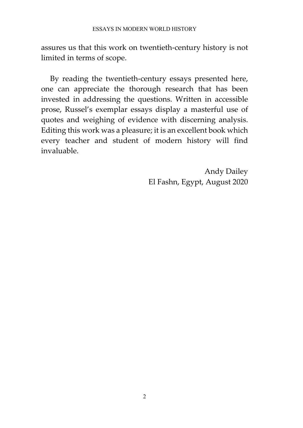assures us that this work on twentieth-century history is not limited in terms of scope.

By reading the twentieth-century essays presented here, one can appreciate the thorough research that has been invested in addressing the questions. Written in accessible prose, Russel's exemplar essays display a masterful use of quotes and weighing of evidence with discerning analysis. Editing this work was a pleasure; it is an excellent book which every teacher and student of modern history will find invaluable.

> Andy Dailey El Fashn, Egypt, August 2020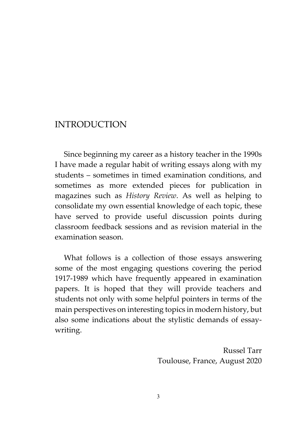### INTRODUCTION

Since beginning my career as a history teacher in the 1990s I have made a regular habit of writing essays along with my students – sometimes in timed examination conditions, and sometimes as more extended pieces for publication in magazines such as *History Review*. As well as helping to consolidate my own essential knowledge of each topic, these have served to provide useful discussion points during classroom feedback sessions and as revision material in the examination season.

What follows is a collection of those essays answering some of the most engaging questions covering the period 1917-1989 which have frequently appeared in examination papers. It is hoped that they will provide teachers and students not only with some helpful pointers in terms of the main perspectives on interesting topics in modern history, but also some indications about the stylistic demands of essaywriting.

> Russel Tarr Toulouse, France, August 2020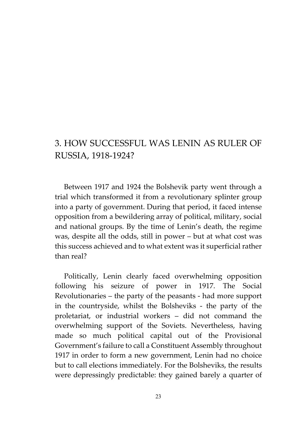## 3. HOW SUCCESSFUL WAS LENIN AS RULER OF RUSSIA, 1918-1924?

Between 1917 and 1924 the Bolshevik party went through a trial which transformed it from a revolutionary splinter group into a party of government. During that period, it faced intense opposition from a bewildering array of political, military, social and national groups. By the time of Lenin's death, the regime was, despite all the odds, still in power – but at what cost was this success achieved and to what extent was it superficial rather than real?

Politically, Lenin clearly faced overwhelming opposition following his seizure of power in 1917. The Social Revolutionaries – the party of the peasants - had more support in the countryside, whilst the Bolsheviks - the party of the proletariat, or industrial workers – did not command the overwhelming support of the Soviets. Nevertheless, having made so much political capital out of the Provisional Government's failure to call a Constituent Assembly throughout 1917 in order to form a new government, Lenin had no choice but to call elections immediately. For the Bolsheviks, the results were depressingly predictable: they gained barely a quarter of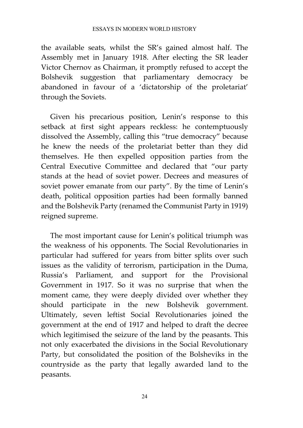the available seats, whilst the SR's gained almost half. The Assembly met in January 1918. After electing the SR leader Victor Chernov as Chairman, it promptly refused to accept the Bolshevik suggestion that parliamentary democracy be abandoned in favour of a 'dictatorship of the proletariat' through the Soviets.

Given his precarious position, Lenin's response to this setback at first sight appears reckless: he contemptuously dissolved the Assembly, calling this "true democracy" because he knew the needs of the proletariat better than they did themselves. He then expelled opposition parties from the Central Executive Committee and declared that "our party stands at the head of soviet power. Decrees and measures of soviet power emanate from our party". By the time of Lenin's death, political opposition parties had been formally banned and the Bolshevik Party (renamed the Communist Party in 1919) reigned supreme.

The most important cause for Lenin's political triumph was the weakness of his opponents. The Social Revolutionaries in particular had suffered for years from bitter splits over such issues as the validity of terrorism, participation in the Duma, Russia's Parliament, and support for the Provisional Government in 1917. So it was no surprise that when the moment came, they were deeply divided over whether they should participate in the new Bolshevik government. Ultimately, seven leftist Social Revolutionaries joined the government at the end of 1917 and helped to draft the decree which legitimised the seizure of the land by the peasants. This not only exacerbated the divisions in the Social Revolutionary Party, but consolidated the position of the Bolsheviks in the countryside as the party that legally awarded land to the peasants.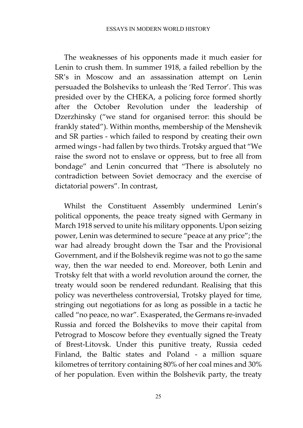The weaknesses of his opponents made it much easier for Lenin to crush them. In summer 1918, a failed rebellion by the SR's in Moscow and an assassination attempt on Lenin persuaded the Bolsheviks to unleash the 'Red Terror'. This was presided over by the CHEKA, a policing force formed shortly after the October Revolution under the leadership of Dzerzhinsky ("we stand for organised terror: this should be frankly stated"). Within months, membership of the Menshevik and SR parties - which failed to respond by creating their own armed wings - had fallen by two thirds. Trotsky argued that "We raise the sword not to enslave or oppress, but to free all from bondage" and Lenin concurred that "There is absolutely no contradiction between Soviet democracy and the exercise of dictatorial powers". In contrast,

Whilst the Constituent Assembly undermined Lenin's political opponents, the peace treaty signed with Germany in March 1918 served to unite his military opponents. Upon seizing power, Lenin was determined to secure "peace at any price"; the war had already brought down the Tsar and the Provisional Government, and if the Bolshevik regime was not to go the same way, then the war needed to end. Moreover, both Lenin and Trotsky felt that with a world revolution around the corner, the treaty would soon be rendered redundant. Realising that this policy was nevertheless controversial, Trotsky played for time, stringing out negotiations for as long as possible in a tactic he called "no peace, no war". Exasperated, the Germans re-invaded Russia and forced the Bolsheviks to move their capital from Petrograd to Moscow before they eventually signed the Treaty of Brest-Litovsk. Under this punitive treaty, Russia ceded Finland, the Baltic states and Poland - a million square kilometres of territory containing 80% of her coal mines and 30% of her population. Even within the Bolshevik party, the treaty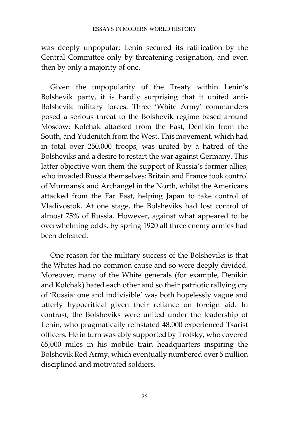was deeply unpopular; Lenin secured its ratification by the Central Committee only by threatening resignation, and even then by only a majority of one.

Given the unpopularity of the Treaty within Lenin's Bolshevik party, it is hardly surprising that it united anti-Bolshevik military forces. Three 'White Army' commanders posed a serious threat to the Bolshevik regime based around Moscow: Kolchak attacked from the East, Denikin from the South, and Yudenitch from the West. This movement, which had in total over 250,000 troops, was united by a hatred of the Bolsheviks and a desire to restart the war against Germany. This latter objective won them the support of Russia's former allies, who invaded Russia themselves: Britain and France took control of Murmansk and Archangel in the North, whilst the Americans attacked from the Far East, helping Japan to take control of Vladivostok. At one stage, the Bolsheviks had lost control of almost 75% of Russia. However, against what appeared to be overwhelming odds, by spring 1920 all three enemy armies had been defeated.

One reason for the military success of the Bolsheviks is that the Whites had no common cause and so were deeply divided. Moreover, many of the White generals (for example, Denikin and Kolchak) hated each other and so their patriotic rallying cry of 'Russia: one and indivisible' was both hopelessly vague and utterly hypocritical given their reliance on foreign aid. In contrast, the Bolsheviks were united under the leadership of Lenin, who pragmatically reinstated 48,000 experienced Tsarist officers. He in turn was ably supported by Trotsky, who covered 65,000 miles in his mobile train headquarters inspiring the Bolshevik Red Army, which eventually numbered over 5 million disciplined and motivated soldiers.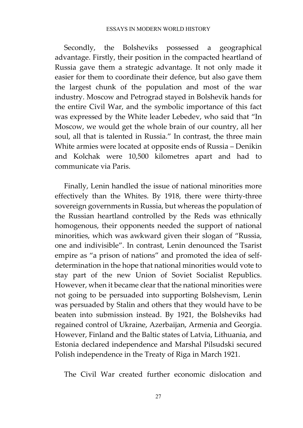Secondly, the Bolsheviks possessed a geographical advantage. Firstly, their position in the compacted heartland of Russia gave them a strategic advantage. It not only made it easier for them to coordinate their defence, but also gave them the largest chunk of the population and most of the war industry. Moscow and Petrograd stayed in Bolshevik hands for the entire Civil War, and the symbolic importance of this fact was expressed by the White leader Lebedev, who said that "In Moscow, we would get the whole brain of our country, all her soul, all that is talented in Russia." In contrast, the three main White armies were located at opposite ends of Russia – Denikin and Kolchak were 10,500 kilometres apart and had to communicate via Paris.

Finally, Lenin handled the issue of national minorities more effectively than the Whites. By 1918, there were thirty-three sovereign governments in Russia, but whereas the population of the Russian heartland controlled by the Reds was ethnically homogenous, their opponents needed the support of national minorities, which was awkward given their slogan of "Russia, one and indivisible". In contrast, Lenin denounced the Tsarist empire as "a prison of nations" and promoted the idea of selfdetermination in the hope that national minorities would vote to stay part of the new Union of Soviet Socialist Republics. However, when it became clear that the national minorities were not going to be persuaded into supporting Bolshevism, Lenin was persuaded by Stalin and others that they would have to be beaten into submission instead. By 1921, the Bolsheviks had regained control of Ukraine, Azerbaijan, Armenia and Georgia. However, Finland and the Baltic states of Latvia, Lithuania, and Estonia declared independence and Marshal Pilsudski secured Polish independence in the Treaty of Riga in March 1921.

The Civil War created further economic dislocation and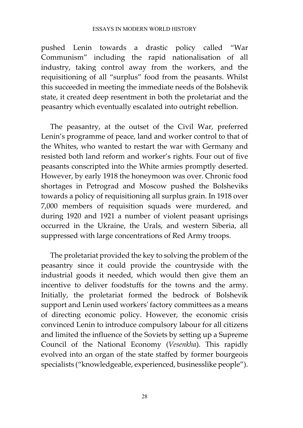#### ESSAYS IN MODERN WORLD HISTORY

pushed Lenin towards a drastic policy called "War Communism" including the rapid nationalisation of all industry, taking control away from the workers, and the requisitioning of all "surplus" food from the peasants. Whilst this succeeded in meeting the immediate needs of the Bolshevik state, it created deep resentment in both the proletariat and the peasantry which eventually escalated into outright rebellion.

The peasantry, at the outset of the Civil War, preferred Lenin's programme of peace, land and worker control to that of the Whites, who wanted to restart the war with Germany and resisted both land reform and worker's rights. Four out of five peasants conscripted into the White armies promptly deserted. However, by early 1918 the honeymoon was over. Chronic food shortages in Petrograd and Moscow pushed the Bolsheviks towards a policy of requisitioning all surplus grain. In 1918 over 7,000 members of requisition squads were murdered, and during 1920 and 1921 a number of violent peasant uprisings occurred in the Ukraine, the Urals, and western Siberia, all suppressed with large concentrations of Red Army troops.

The proletariat provided the key to solving the problem of the peasantry since it could provide the countryside with the industrial goods it needed, which would then give them an incentive to deliver foodstuffs for the towns and the army. Initially, the proletariat formed the bedrock of Bolshevik support and Lenin used workers' factory committees as a means of directing economic policy. However, the economic crisis convinced Lenin to introduce compulsory labour for all citizens and limited the influence of the Soviets by setting up a Supreme Council of the National Economy (*Vesenkha*). This rapidly evolved into an organ of the state staffed by former bourgeois specialists ("knowledgeable, experienced, businesslike people").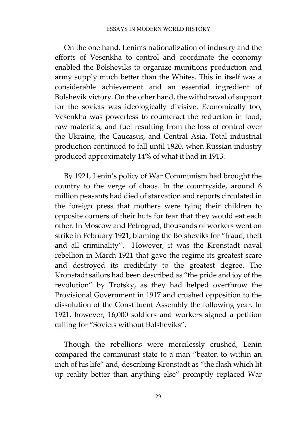On the one hand, Lenin's nationalization of industry and the efforts of Vesenkha to control and coordinate the economy enabled the Bolsheviks to organize munitions production and army supply much better than the Whites. This in itself was a considerable achievement and an essential ingredient of Bolshevik victory. On the other hand, the withdrawal of support for the soviets was ideologically divisive. Economically too, Vesenkha was powerless to counteract the reduction in food, raw materials, and fuel resulting from the loss of control over the Ukraine, the Caucasus, and Central Asia. Total industrial production continued to fall until 1920, when Russian industry produced approximately 14% of what it had in 1913.

By 1921, Lenin's policy of War Communism had brought the country to the verge of chaos. In the countryside, around 6 million peasants had died of starvation and reports circulated in the foreign press that mothers were tying their children to opposite corners of their huts for fear that they would eat each other. In Moscow and Petrograd, thousands of workers went on strike in February 1921, blaming the Bolsheviks for "fraud, theft and all criminality". However, it was the Kronstadt naval rebellion in March 1921 that gave the regime its greatest scare and destroyed its credibility to the greatest degree. The Kronstadt sailors had been described as "the pride and joy of the revolution" by Trotsky, as they had helped overthrow the Provisional Government in 1917 and crushed opposition to the dissolution of the Constituent Assembly the following year. In 1921, however, 16,000 soldiers and workers signed a petition calling for "Soviets without Bolsheviks".

Though the rebellions were mercilessly crushed, Lenin compared the communist state to a man "beaten to within an inch of his life" and, describing Kronstadt as "the flash which lit up reality better than anything else" promptly replaced War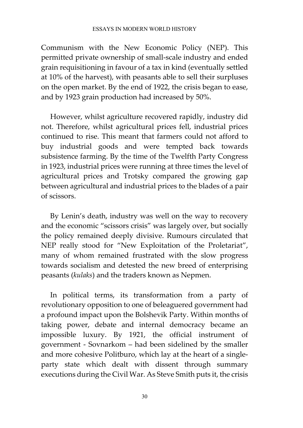Communism with the New Economic Policy (NEP). This permitted private ownership of small-scale industry and ended grain requisitioning in favour of a tax in kind (eventually settled at 10% of the harvest), with peasants able to sell their surpluses on the open market. By the end of 1922, the crisis began to ease, and by 1923 grain production had increased by 50%.

However, whilst agriculture recovered rapidly, industry did not. Therefore, whilst agricultural prices fell, industrial prices continued to rise. This meant that farmers could not afford to buy industrial goods and were tempted back towards subsistence farming. By the time of the Twelfth Party Congress in 1923, industrial prices were running at three times the level of agricultural prices and Trotsky compared the growing gap between agricultural and industrial prices to the blades of a pair of scissors.

By Lenin's death, industry was well on the way to recovery and the economic "scissors crisis" was largely over, but socially the policy remained deeply divisive. Rumours circulated that NEP really stood for "New Exploitation of the Proletariat", many of whom remained frustrated with the slow progress towards socialism and detested the new breed of enterprising peasants (*kulaks*) and the traders known as Nepmen.

In political terms, its transformation from a party of revolutionary opposition to one of beleaguered government had a profound impact upon the Bolshevik Party. Within months of taking power, debate and internal democracy became an impossible luxury. By 1921, the official instrument of government - Sovnarkom – had been sidelined by the smaller and more cohesive Politburo, which lay at the heart of a singleparty state which dealt with dissent through summary executions during the Civil War. As Steve Smith puts it, the crisis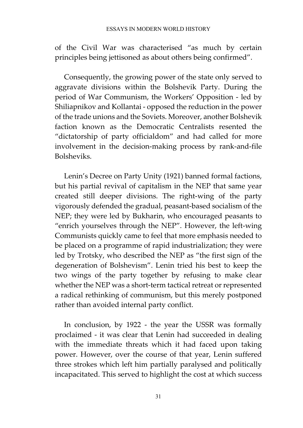of the Civil War was characterised "as much by certain principles being jettisoned as about others being confirmed".

Consequently, the growing power of the state only served to aggravate divisions within the Bolshevik Party. During the period of War Communism, the Workers' Opposition - led by Shiliapnikov and Kollantai - opposed the reduction in the power of the trade unions and the Soviets. Moreover, another Bolshevik faction known as the Democratic Centralists resented the "dictatorship of party officialdom" and had called for more involvement in the decision-making process by rank-and-file Bolsheviks.

Lenin's Decree on Party Unity (1921) banned formal factions, but his partial revival of capitalism in the NEP that same year created still deeper divisions. The right-wing of the party vigorously defended the gradual, peasant-based socialism of the NEP; they were led by Bukharin, who encouraged peasants to "enrich yourselves through the NEP". However, the left-wing Communists quickly came to feel that more emphasis needed to be placed on a programme of rapid industrialization; they were led by Trotsky, who described the NEP as "the first sign of the degeneration of Bolshevism". Lenin tried his best to keep the two wings of the party together by refusing to make clear whether the NEP was a short-term tactical retreat or represented a radical rethinking of communism, but this merely postponed rather than avoided internal party conflict.

In conclusion, by 1922 - the year the USSR was formally proclaimed - it was clear that Lenin had succeeded in dealing with the immediate threats which it had faced upon taking power. However, over the course of that year, Lenin suffered three strokes which left him partially paralysed and politically incapacitated. This served to highlight the cost at which success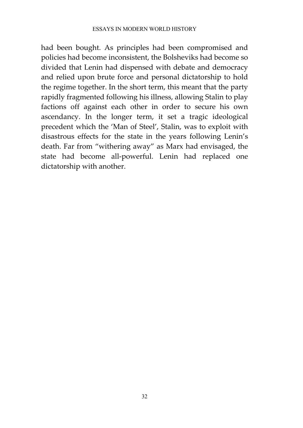#### ESSAYS IN MODERN WORLD HISTORY

had been bought. As principles had been compromised and policies had become inconsistent, the Bolsheviks had become so divided that Lenin had dispensed with debate and democracy and relied upon brute force and personal dictatorship to hold the regime together. In the short term, this meant that the party rapidly fragmented following his illness, allowing Stalin to play factions off against each other in order to secure his own ascendancy. In the longer term, it set a tragic ideological precedent which the 'Man of Steel', Stalin, was to exploit with disastrous effects for the state in the years following Lenin's death. Far from "withering away" as Marx had envisaged, the state had become all-powerful. Lenin had replaced one dictatorship with another.